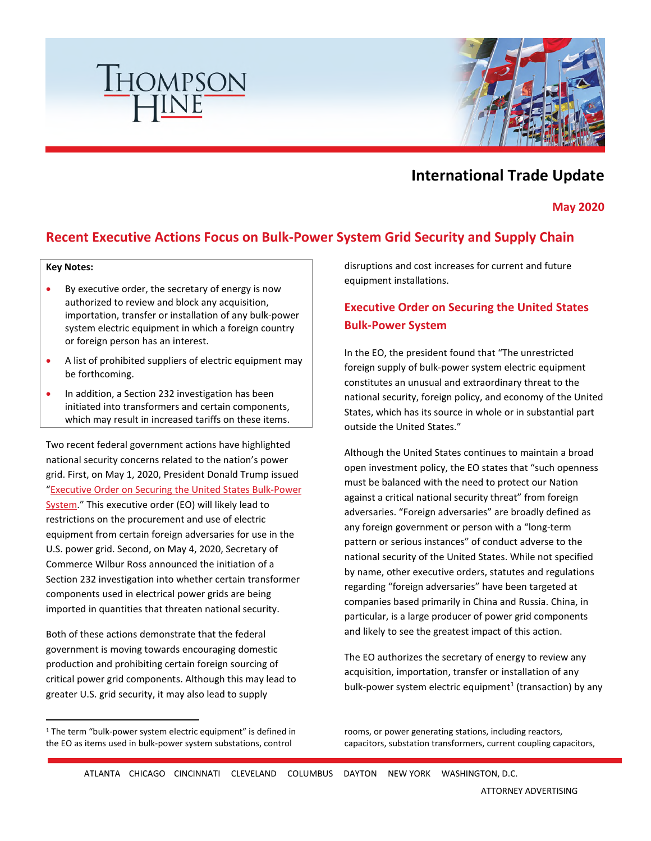



# **International Trade Update**

**May 2020** 

### **Recent Executive Actions Focus on Bulk-Power System Grid Security and Supply Chain**

#### **Key Notes:**

- By executive order, the secretary of energy is now authorized to review and block any acquisition, importation, transfer or installation of any bulk-power system electric equipment in which a foreign country or foreign person has an interest.
- A list of prohibited suppliers of electric equipment may be forthcoming.
- In addition, a Section 232 investigation has been initiated into transformers and certain components, which may result in increased tariffs on these items.

Two recent federal government actions have highlighted national security concerns related to the nation's power grid. First, on May 1, 2020, President Donald Trump issued ["Executive Order on Securing the United States Bulk-Power](https://www.whitehouse.gov/presidential-actions/executive-order-securing-united-states-bulk-power-system/)  [System." This executive order \(EO\) will likely lead to](https://www.whitehouse.gov/presidential-actions/executive-order-securing-united-states-bulk-power-system/)  restrictions on the procurement and use of electric equipment from certain foreign adversaries for use in the U.S. power grid. Second, on May 4, 2020, Secretary of Commerce Wilbur Ross announced the initiation of a Section 232 investigation into whether certain transformer components used in electrical power grids are being imported in quantities that threaten national security.

Both of these actions demonstrate that the federal government is moving towards encouraging domestic production and prohibiting certain foreign sourcing of critical power grid components. Although this may lead to greater U.S. grid security, it may also lead to supply

disruptions and cost increases for current and future equipment installations.

## **Executive Order on Securing the United States Bulk-Power System**

In the EO, the president found that "The unrestricted foreign supply of bulk-power system electric equipment constitutes an unusual and extraordinary threat to the national security, foreign policy, and economy of the United States, which has its source in whole or in substantial part outside the United States."

Although the United States continues to maintain a broad open investment policy, the EO states that "such openness must be balanced with the need to protect our Nation against a critical national security threat" from foreign adversaries. "Foreign adversaries" are broadly defined as any foreign government or person with a "long-term pattern or serious instances" of conduct adverse to the national security of the United States. While not specified by name, other executive orders, statutes and regulations regarding "foreign adversaries" have been targeted at companies based primarily in China and Russia. China, in particular, is a large producer of power grid components and likely to see the greatest impact of this action.

The EO authorizes the secretary of energy to review any acquisition, importation, transfer or installation of any bulk-power system electric equipment<sup>1</sup> [\(](#page-0-0)transaction) by any

rooms, or power generating stations, including reactors, capacitors, substation transformers, current coupling capacitors,

<span id="page-0-0"></span><sup>&</sup>lt;sup>1</sup> The term "bulk-power system electric equipment" is defined in the EO as items used in bulk-power system substations, control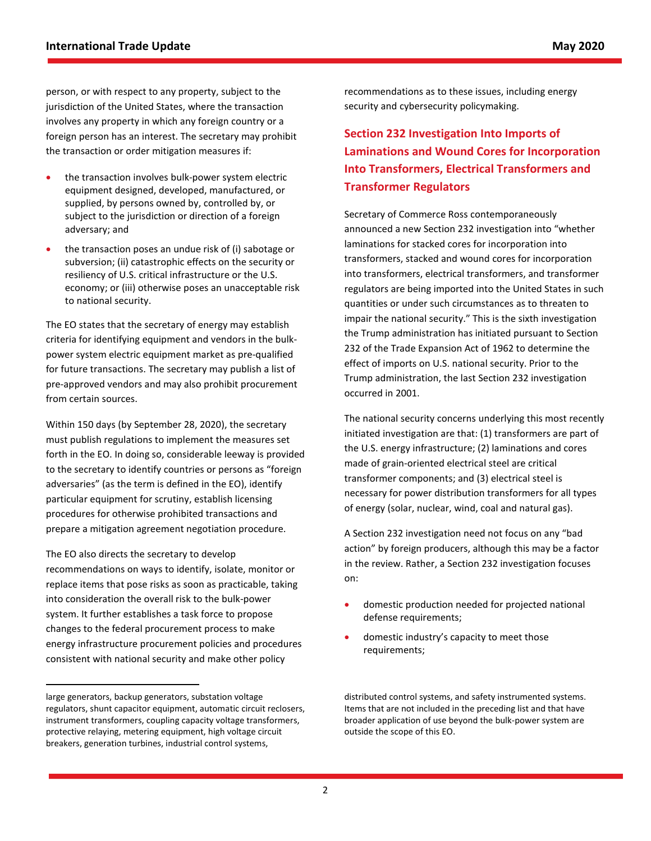person, or with respect to any property, subject to the jurisdiction of the United States, where the transaction involves any property in which any foreign country or a foreign person has an interest. The secretary may prohibit the transaction or order mitigation measures if:

- the transaction involves bulk-power system electric equipment designed, developed, manufactured, or supplied, by persons owned by, controlled by, or subject to the jurisdiction or direction of a foreign adversary; and
- the transaction poses an undue risk of (i) sabotage or subversion; (ii) catastrophic effects on the security or resiliency of U.S. critical infrastructure or the U.S. economy; or (iii) otherwise poses an unacceptable risk to national security.

The EO states that the secretary of energy may establish criteria for identifying equipment and vendors in the bulkpower system electric equipment market as pre-qualified for future transactions. The secretary may publish a list of pre-approved vendors and may also prohibit procurement from certain sources.

Within 150 days (by September 28, 2020), the secretary must publish regulations to implement the measures set forth in the EO. In doing so, considerable leeway is provided to the secretary to identify countries or persons as "foreign adversaries" (as the term is defined in the EO), identify particular equipment for scrutiny, establish licensing procedures for otherwise prohibited transactions and prepare a mitigation agreement negotiation procedure.

The EO also directs the secretary to develop recommendations on ways to identify, isolate, monitor or replace items that pose risks as soon as practicable, taking into consideration the overall risk to the bulk-power system. It further establishes a task force to propose changes to the federal procurement process to make energy infrastructure procurement policies and procedures consistent with national security and make other policy

recommendations as to these issues, including energy security and cybersecurity policymaking.

## **Section 232 Investigation Into Imports of Laminations and Wound Cores for Incorporation Into Transformers, Electrical Transformers and Transformer Regulators**

Secretary of Commerce Ross contemporaneously announced a new Section 232 investigation into "whether laminations for stacked cores for incorporation into transformers, stacked and wound cores for incorporation into transformers, electrical transformers, and transformer regulators are being imported into the United States in such quantities or under such circumstances as to threaten to impair the national security." This is the sixth investigation the Trump administration has initiated pursuant to Section 232 of the Trade Expansion Act of 1962 to determine the effect of imports on U.S. national security. Prior to the Trump administration, the last Section 232 investigation occurred in 2001.

The national security concerns underlying this most recently initiated investigation are that: (1) transformers are part of the U.S. energy infrastructure; (2) laminations and cores made of grain-oriented electrical steel are critical transformer components; and (3) electrical steel is necessary for power distribution transformers for all types of energy (solar, nuclear, wind, coal and natural gas).

A Section 232 investigation need not focus on any "bad action" by foreign producers, although this may be a factor in the review. Rather, a Section 232 investigation focuses on:

- domestic production needed for projected national defense requirements;
- domestic industry's capacity to meet those requirements;

large generators, backup generators, substation voltage regulators, shunt capacitor equipment, automatic circuit reclosers, instrument transformers, coupling capacity voltage transformers, protective relaying, metering equipment, high voltage circuit breakers, generation turbines, industrial control systems,

distributed control systems, and safety instrumented systems. Items that are not included in the preceding list and that have broader application of use beyond the bulk-power system are outside the scope of this EO.